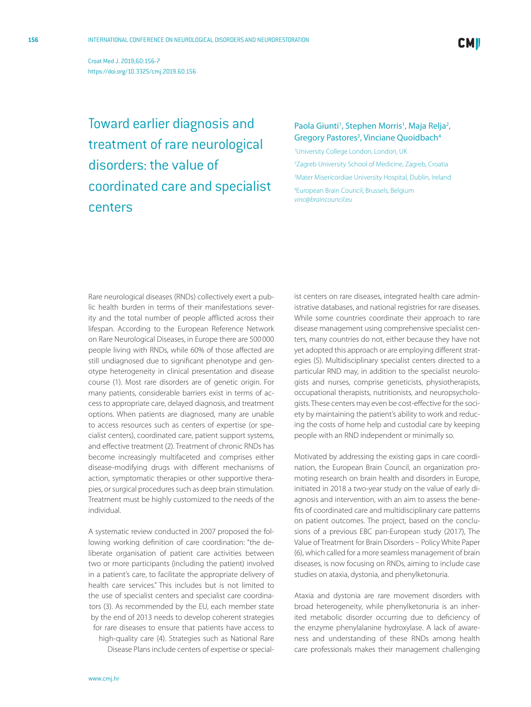Croat Med J. 2019;60:156-7 <https://doi.org/10.3325/cmj.2019.60.156>

Toward earlier diagnosis and treatment of rare neurological disorders: the value of coordinated care and specialist centers

## Paola Giunti<sup>1</sup>, Stephen Morris<sup>1</sup>, Maja Relja<sup>2</sup>, Gregory Pastores<sup>3</sup>, Vinciane Quoidbach<sup>4</sup>

1 University College London, London, UK

2 Zagreb University School of Medicine, Zagreb, Croatia

3 Mater Misericordiae University Hospital, Dublin, Ireland

4 European Brain Council, Brussels, Belgium *[vinc@braincouncil.eu](mailto: vinc@braincouncil.eu)*

Rare neurological diseases (RNDs) collectively exert a public health burden in terms of their manifestations severity and the total number of people afflicted across their lifespan. According to the European Reference Network on Rare Neurological Diseases, in Europe there are 500 000 people living with RNDs, while 60% of those affected are still undiagnosed due to significant phenotype and genotype heterogeneity in clinical presentation and disease course (1). Most rare disorders are of genetic origin. For many patients, considerable barriers exist in terms of access to appropriate care, delayed diagnosis, and treatment options. When patients are diagnosed, many are unable to access resources such as centers of expertise (or specialist centers), coordinated care, patient support systems, and effective treatment (2). Treatment of chronic RNDs has become increasingly multifaceted and comprises either disease-modifying drugs with different mechanisms of action, symptomatic therapies or other supportive therapies, or surgical procedures such as deep brain stimulation. Treatment must be highly customized to the needs of the individual.

A systematic review conducted in 2007 proposed the following working definition of care coordination: "the deliberate organisation of patient care activities between two or more participants (including the patient) involved in a patient's care, to facilitate the appropriate delivery of health care services." This includes but is not limited to the use of specialist centers and specialist care coordinators (3). As recommended by the EU, each member state by the end of 2013 needs to develop coherent strategies for rare diseases to ensure that patients have access to high-quality care (4). Strategies such as National Rare Disease Plans include centers of expertise or special-

ist centers on rare diseases, integrated health care administrative databases, and national registries for rare diseases. While some countries coordinate their approach to rare disease management using comprehensive specialist centers, many countries do not, either because they have not yet adopted this approach or are employing different strategies (5). Multidisciplinary specialist centers directed to a particular RND may, in addition to the specialist neurologists and nurses, comprise geneticists, physiotherapists, occupational therapists, nutritionists, and neuropsychologists. These centers may even be cost-effective for the society by maintaining the patient's ability to work and reducing the costs of home help and custodial care by keeping people with an RND independent or minimally so.

Motivated by addressing the existing gaps in care coordination, the European Brain Council, an organization promoting research on brain health and disorders in Europe, initiated in 2018 a two-year study on the value of early diagnosis and intervention, with an aim to assess the benefits of coordinated care and multidisciplinary care patterns on patient outcomes. The project, based on the conclusions of a previous EBC pan-European study (2017), The Value of Treatment for Brain Disorders – Policy White Paper (6), which called for a more seamless management of brain diseases, is now focusing on RNDs, aiming to include case studies on ataxia, dystonia, and phenylketonuria.

Ataxia and dystonia are rare movement disorders with broad heterogeneity, while phenylketonuria is an inherited metabolic disorder occurring due to deficiency of the enzyme phenylalanine hydroxylase. A lack of awareness and understanding of these RNDs among health care professionals makes their management challenging